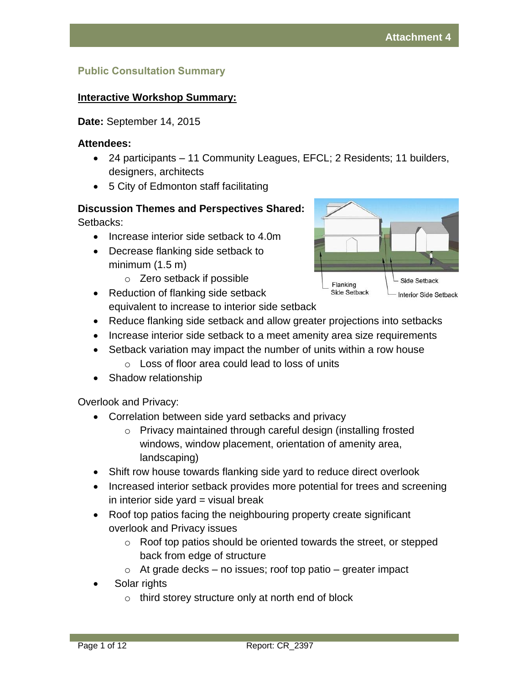## **Public Consultation Summary**

### **Interactive Workshop Summary:**

**Date:** September 14, 2015

#### **Attendees:**

- 24 participants 11 Community Leagues, EFCL; 2 Residents; 11 builders, designers, architects
- 5 City of Edmonton staff facilitating

#### **Discussion Themes and Perspectives Shared:** Setbacks:

- Increase interior side setback to 4.0m
- Decrease flanking side setback to minimum (1.5 m)
	- o Zero setback if possible
- Reduction of flanking side setback equivalent to increase to interior side setback
- Reduce flanking side setback and allow greater projections into setbacks
- Increase interior side setback to a meet amenity area size requirements
- Setback variation may impact the number of units within a row house
	- o Loss of floor area could lead to loss of units
- Shadow relationship

Overlook and Privacy:

- Correlation between side yard setbacks and privacy
	- Privacy maintained through careful design (installing frosted windows, window placement, orientation of amenity area, landscaping)
- Shift row house towards flanking side yard to reduce direct overlook
- Increased interior setback provides more potential for trees and screening in interior side yard  $=$  visual break
- Roof top patios facing the neighbouring property create significant overlook and Privacy issues
	- o Roof top patios should be oriented towards the street, or stepped back from edge of structure
	- $\circ$  At grade decks no issues; roof top patio greater impact
- Solar rights
	- o third storey structure only at north end of block

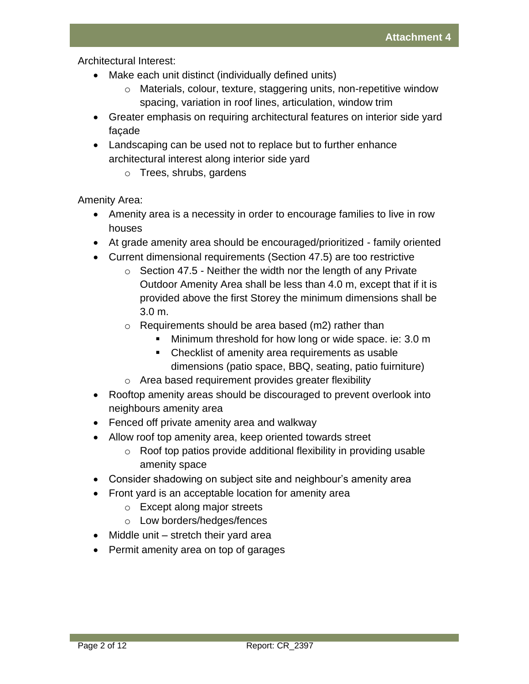Architectural Interest:

- Make each unit distinct (individually defined units)
	- o Materials, colour, texture, staggering units, non-repetitive window spacing, variation in roof lines, articulation, window trim
- Greater emphasis on requiring architectural features on interior side yard façade
- Landscaping can be used not to replace but to further enhance architectural interest along interior side yard
	- o Trees, shrubs, gardens

Amenity Area:

- Amenity area is a necessity in order to encourage families to live in row houses
- At grade amenity area should be encouraged/prioritized family oriented
- Current dimensional requirements (Section 47.5) are too restrictive
	- $\circ$  Section 47.5 Neither the width nor the length of any Private Outdoor Amenity Area shall be less than 4.0 m, except that if it is provided above the first Storey the minimum dimensions shall be 3.0 m.
	- $\circ$  Requirements should be area based (m2) rather than
		- **Minimum threshold for how long or wide space. ie: 3.0 m**
		- Checklist of amenity area requirements as usable dimensions (patio space, BBQ, seating, patio fuirniture)
	- o Area based requirement provides greater flexibility
- Rooftop amenity areas should be discouraged to prevent overlook into neighbours amenity area
- Fenced off private amenity area and walkway
- Allow roof top amenity area, keep oriented towards street
	- $\circ$  Roof top patios provide additional flexibility in providing usable amenity space
- Consider shadowing on subject site and neighbour's amenity area
- Front yard is an acceptable location for amenity area
	- o Except along major streets
	- o Low borders/hedges/fences
- Middle unit stretch their yard area
- Permit amenity area on top of garages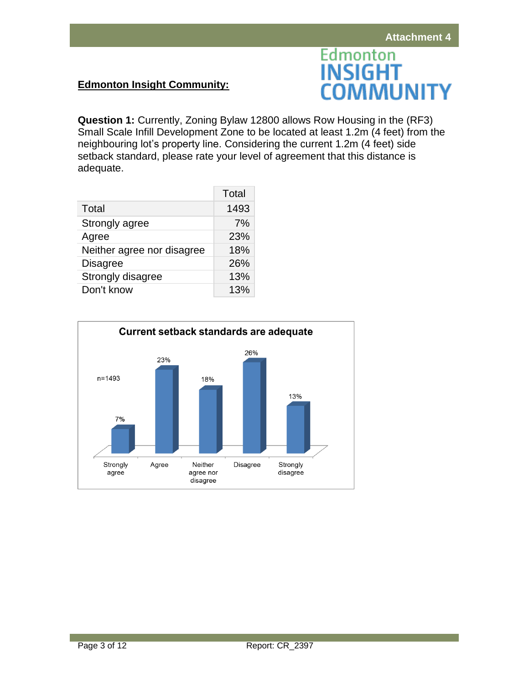## **Edmonton Insight Community:**



**Question 1:** Currently, Zoning Bylaw 12800 allows Row Housing in the (RF3) Small Scale Infill Development Zone to be located at least 1.2m (4 feet) from the neighbouring lot's property line. Considering the current 1.2m (4 feet) side setback standard, please rate your level of agreement that this distance is adequate.

|                            | Total |
|----------------------------|-------|
| Total                      | 1493  |
| Strongly agree             | 7%    |
| Agree                      | 23%   |
| Neither agree nor disagree | 18%   |
| <b>Disagree</b>            | 26%   |
| Strongly disagree          | 13%   |
| Don't know                 | 13%   |

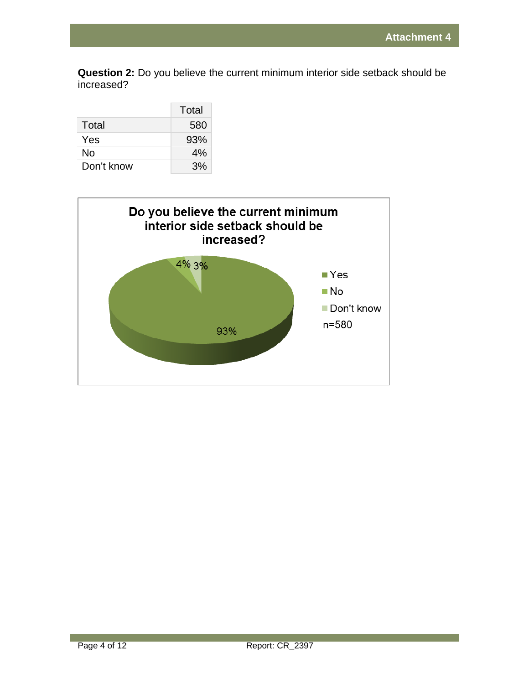**Question 2:** Do you believe the current minimum interior side setback should be increased?

|            | Total |
|------------|-------|
| Total      | 580   |
| Yes        | 93%   |
| No         | 4%    |
| Don't know | 3%    |

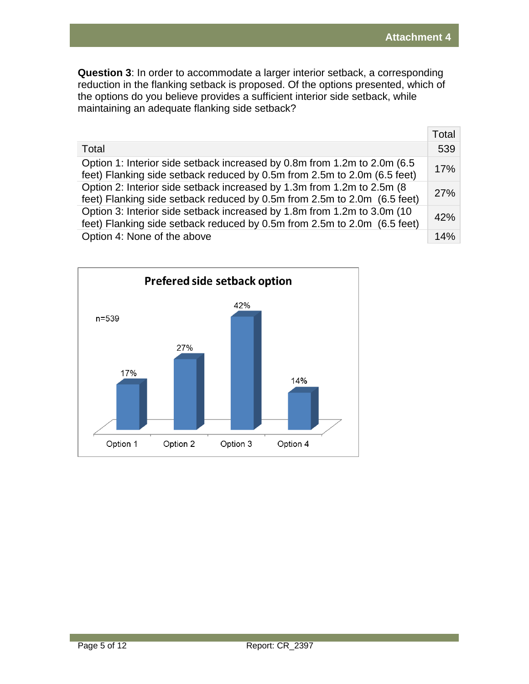**Question 3**: In order to accommodate a larger interior setback, a corresponding reduction in the flanking setback is proposed. Of the options presented, which of the options do you believe provides a sufficient interior side setback, while maintaining an adequate flanking side setback?

|                                                                                                                                                       | Total |
|-------------------------------------------------------------------------------------------------------------------------------------------------------|-------|
| Total                                                                                                                                                 | 539   |
| Option 1: Interior side setback increased by 0.8m from 1.2m to 2.0m (6.5)<br>feet) Flanking side setback reduced by 0.5m from 2.5m to 2.0m (6.5 feet) | 17%   |
| Option 2: Interior side setback increased by 1.3m from 1.2m to 2.5m (8)<br>feet) Flanking side setback reduced by 0.5m from 2.5m to 2.0m (6.5 feet)   | 27%   |
| Option 3: Interior side setback increased by 1.8m from 1.2m to 3.0m (10)<br>feet) Flanking side setback reduced by 0.5m from 2.5m to 2.0m (6.5 feet)  | 42%   |
| Option 4: None of the above                                                                                                                           | 14%   |

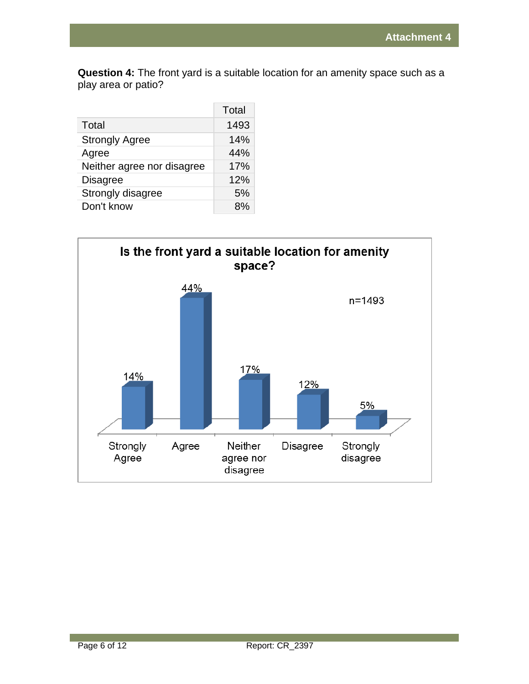**Question 4:** The front yard is a suitable location for an amenity space such as a play area or patio?

|                            | Total |
|----------------------------|-------|
| Total                      | 1493  |
| <b>Strongly Agree</b>      | 14%   |
| Agree                      | 44%   |
| Neither agree nor disagree | 17%   |
| <b>Disagree</b>            | 12%   |
| Strongly disagree          | 5%    |
| Don't know                 | ጸ%    |

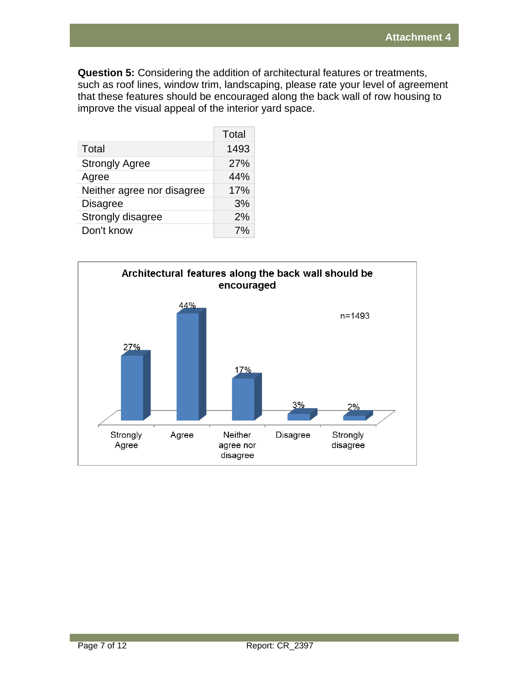**Question 5:** Considering the addition of architectural features or treatments, such as roof lines, window trim, landscaping, please rate your level of agreement that these features should be encouraged along the back wall of row housing to improve the visual appeal of the interior yard space.

|                            | Total |
|----------------------------|-------|
| Total                      | 1493  |
| <b>Strongly Agree</b>      | 27%   |
| Agree                      | 44%   |
| Neither agree nor disagree | 17%   |
| <b>Disagree</b>            | 3%    |
| Strongly disagree          | 2%    |
| Don't know                 | $7\%$ |

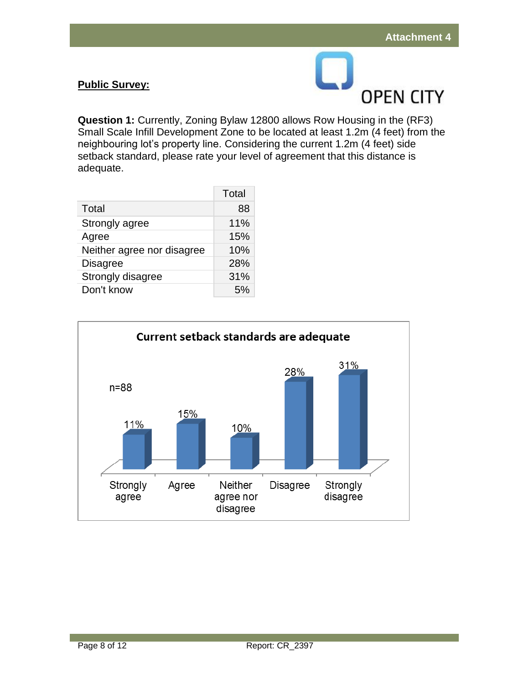# **Public Survey:**



**Question 1:** Currently, Zoning Bylaw 12800 allows Row Housing in the (RF3) Small Scale Infill Development Zone to be located at least 1.2m (4 feet) from the neighbouring lot's property line. Considering the current 1.2m (4 feet) side setback standard, please rate your level of agreement that this distance is adequate.

|                            | Total |
|----------------------------|-------|
| Total                      | 88    |
| Strongly agree             | 11%   |
| Agree                      | 15%   |
| Neither agree nor disagree | 10%   |
| <b>Disagree</b>            | 28%   |
| Strongly disagree          | 31%   |
| Don't know                 | 5%    |

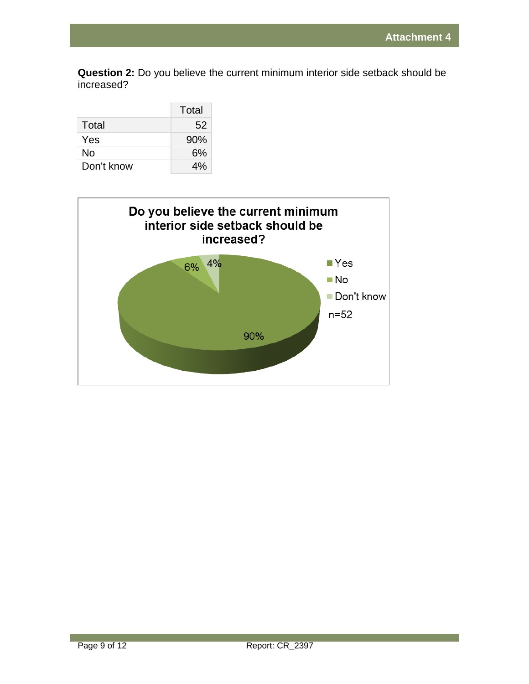**Question 2:** Do you believe the current minimum interior side setback should be increased?

|            | Total |
|------------|-------|
| Total      | 52    |
| Yes        | 90%   |
| No         | 6%    |
| Don't know | 4%    |

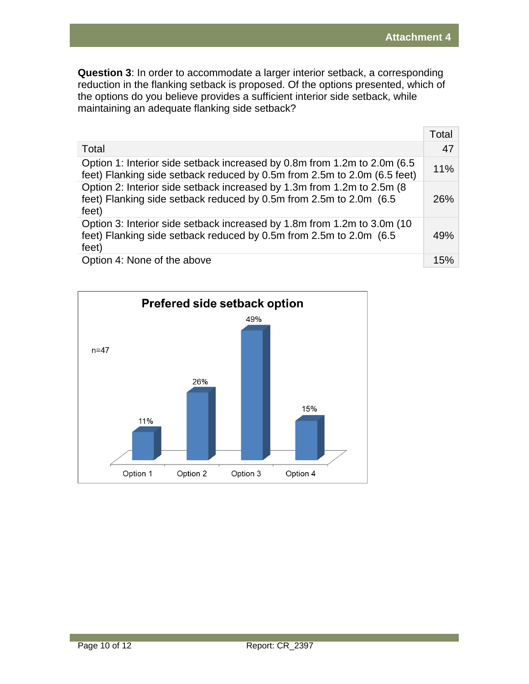**Question 3**: In order to accommodate a larger interior setback, a corresponding reduction in the flanking setback is proposed. Of the options presented, which of the options do you believe provides a sufficient interior side setback, while maintaining an adequate flanking side setback?

|                                                                                                                                                          | Total |
|----------------------------------------------------------------------------------------------------------------------------------------------------------|-------|
| Total                                                                                                                                                    | 47    |
| Option 1: Interior side setback increased by 0.8m from 1.2m to 2.0m (6.5)<br>feet) Flanking side setback reduced by 0.5m from 2.5m to 2.0m (6.5 feet)    | 11%   |
| Option 2: Interior side setback increased by 1.3m from 1.2m to 2.5m (8)<br>feet) Flanking side setback reduced by 0.5m from 2.5m to 2.0m (6.5)<br>feet)  | 26%   |
| Option 3: Interior side setback increased by 1.8m from 1.2m to 3.0m (10)<br>feet) Flanking side setback reduced by 0.5m from 2.5m to 2.0m (6.5)<br>feet) | 49%   |
| Option 4: None of the above                                                                                                                              | 15%   |

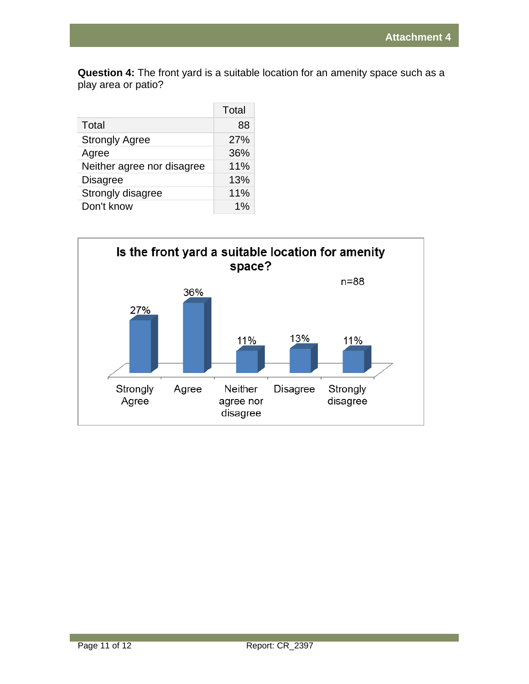**Question 4:** The front yard is a suitable location for an amenity space such as a play area or patio?

|                            | Total |
|----------------------------|-------|
| Total                      | 88    |
| <b>Strongly Agree</b>      | 27%   |
| Agree                      | 36%   |
| Neither agree nor disagree | 11%   |
| <b>Disagree</b>            | 13%   |
| Strongly disagree          | 11%   |
| Don't know                 | 1%    |